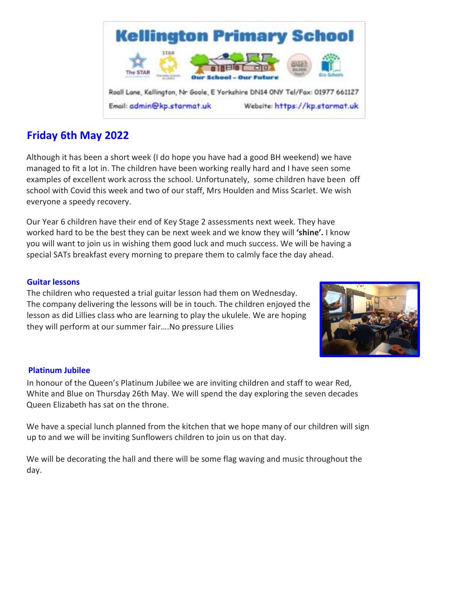

# **Friday 6th May 2022**

Although it has been a short week (I do hope you have had a good BH weekend) we have managed to fit a lot in. The children have been working really hard and I have seen some examples of excellent work across the school. Unfortunately, some children have been off school with Covid this week and two of our staff, Mrs Houlden and Miss Scarlet. We wish everyone a speedy recovery.

Our Year 6 children have their end of Key Stage 2 assessments next week. They have worked hard to be the best they can be next week and we know they will **'shine'.** I know you will want to join us in wishing them good luck and much success. We will be having a special SATs breakfast every morning to prepare them to calmly face the day ahead.

# **Guitar lessons**

The children who requested a trial guitar lesson had them on Wednesday. The company delivering the lessons will be in touch. The children enjoyed the lesson as did Lillies class who are learning to play the ukulele. We are hoping they will perform at our summer fair….No pressure Lilies



### **Platinum Jubilee**

In honour of the Queen's Platinum Jubilee we are inviting children and staff to wear Red, White and Blue on Thursday 26th May. We will spend the day exploring the seven decades Queen Elizabeth has sat on the throne.

We have a special lunch planned from the kitchen that we hope many of our children will sign up to and we will be inviting Sunflowers children to join us on that day.

We will be decorating the hall and there will be some flag waving and music throughout the day.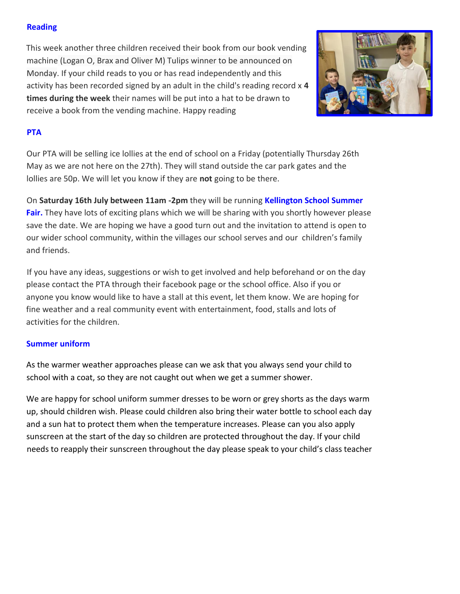# **Reading**

This week another three children received their book from our book vending machine (Logan O, Brax and Oliver M) Tulips winner to be announced on Monday. If your child reads to you or has read independently and this activity has been recorded signed by an adult in the child's reading record x **4 times during the week** their names will be put into a hat to be drawn to receive a book from the vending machine. Happy reading



# **PTA**

Our PTA will be selling ice lollies at the end of school on a Friday (potentially Thursday 26th May as we are not here on the 27th). They will stand outside the car park gates and the lollies are 50p. We will let you know if they are **not** going to be there.

On **Saturday 16th July between 11am -2pm** they will be running **Kellington School Summer Fair.** They have lots of exciting plans which we will be sharing with you shortly however please save the date. We are hoping we have a good turn out and the invitation to attend is open to our wider school community, within the villages our school serves and our children's family and friends.

If you have any ideas, suggestions or wish to get involved and help beforehand or on the day please contact the PTA through their facebook page or the school office. Also if you or anyone you know would like to have a stall at this event, let them know. We are hoping for fine weather and a real community event with entertainment, food, stalls and lots of activities for the children.

# **Summer uniform**

As the warmer weather approaches please can we ask that you always send your child to school with a coat, so they are not caught out when we get a summer shower.

We are happy for school uniform summer dresses to be worn or grey shorts as the days warm up, should children wish. Please could children also bring their water bottle to school each day and a sun hat to protect them when the temperature increases. Please can you also apply sunscreen at the start of the day so children are protected throughout the day. If your child needs to reapply their sunscreen throughout the day please speak to your child's class teacher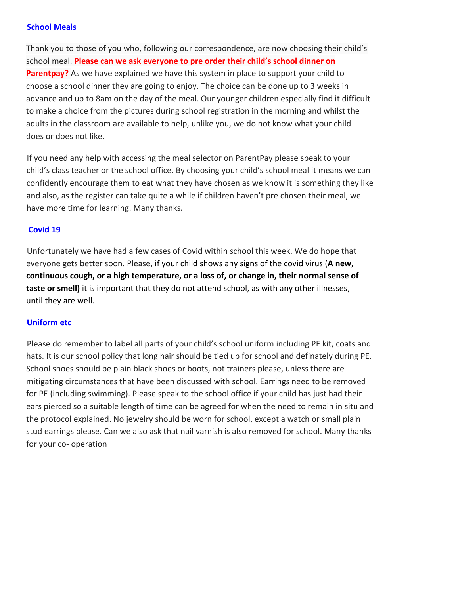### **School Meals**

Thank you to those of you who, following our correspondence, are now choosing their child's school meal. **Please can we ask everyone to pre order their child's school dinner on Parentpay?** As we have explained we have this system in place to support your child to choose a school dinner they are going to enjoy. The choice can be done up to 3 weeks in advance and up to 8am on the day of the meal. Our younger children especially find it difficult to make a choice from the pictures during school registration in the morning and whilst the adults in the classroom are available to help, unlike you, we do not know what your child does or does not like.

If you need any help with accessing the meal selector on ParentPay please speak to your child's class teacher or the school office. By choosing your child's school meal it means we can confidently encourage them to eat what they have chosen as we know it is something they like and also, as the register can take quite a while if children haven't pre chosen their meal, we have more time for learning. Many thanks.

# **Covid 19**

Unfortunately we have had a few cases of Covid within school this week. We do hope that everyone gets better soon. Please, if your child shows any signs of the covid virus (**A new, continuous cough, or a high temperature, or a loss of, or change in, their normal sense of taste or smell)** it is important that they do not attend school, as with any other illnesses, until they are well.

### **Uniform etc**

Please do remember to label all parts of your child's school uniform including PE kit, coats and hats. It is our school policy that long hair should be tied up for school and definately during PE. School shoes should be plain black shoes or boots, not trainers please, unless there are mitigating circumstances that have been discussed with school. Earrings need to be removed for PE (including swimming). Please speak to the school office if your child has just had their ears pierced so a suitable length of time can be agreed for when the need to remain in situ and the protocol explained. No jewelry should be worn for school, except a watch or small plain stud earrings please. Can we also ask that nail varnish is also removed for school. Many thanks for your co- operation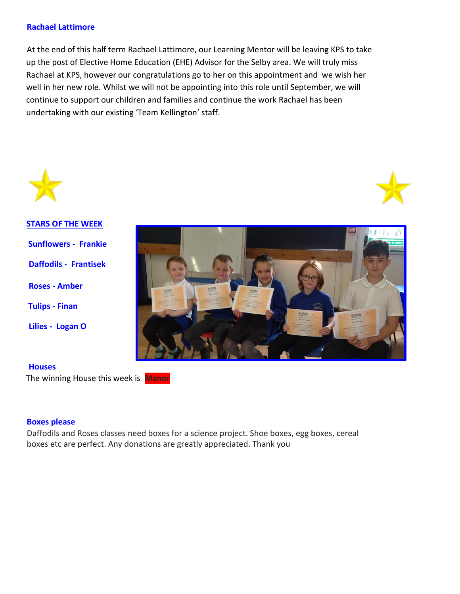### **Rachael Lattimore**

At the end of this half term Rachael Lattimore, our Learning Mentor will be leaving KPS to take up the post of Elective Home Education (EHE) Advisor for the Selby area. We will truly miss Rachael at KPS, however our congratulations go to her on this appointment and we wish her well in her new role. Whilst we will not be appointing into this role until September, we will continue to support our children and families and continue the work Rachael has been undertaking with our existing 'Team Kellington' staff.





**STARS OF THE WEEK Sunflowers - Frankie Daffodils - Frantisek Roses - Amber Tulips - Finan Lilies - Logan O** 



#### **Houses**

The winning House this week is **Manor**

#### **Boxes please**

Daffodils and Roses classes need boxes for a science project. Shoe boxes, egg boxes, cereal boxes etc are perfect. Any donations are greatly appreciated. Thank you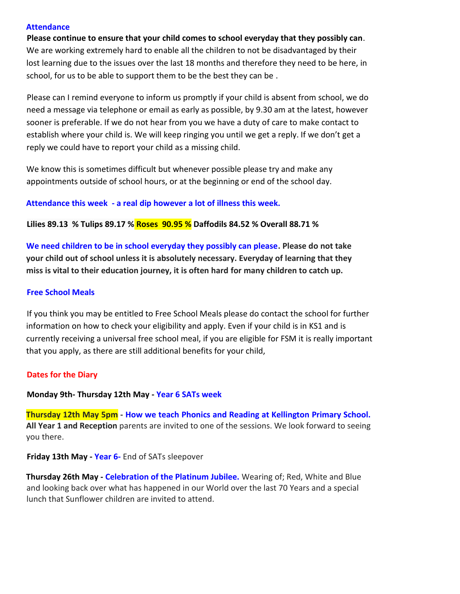#### **Attendance**

**Please continue to ensure that your child comes to school everyday that they possibly can**. We are working extremely hard to enable all the children to not be disadvantaged by their lost learning due to the issues over the last 18 months and therefore they need to be here, in school, for us to be able to support them to be the best they can be .

Please can I remind everyone to inform us promptly if your child is absent from school, we do need a message via telephone or email as early as possible, by 9.30 am at the latest, however sooner is preferable. If we do not hear from you we have a duty of care to make contact to establish where your child is. We will keep ringing you until we get a reply. If we don't get a reply we could have to report your child as a missing child.

We know this is sometimes difficult but whenever possible please try and make any appointments outside of school hours, or at the beginning or end of the school day.

#### **Attendance this week - a real dip however a lot of illness this week.**

**Lilies 89.13 % Tulips 89.17 % Roses 90.95 % Daffodils 84.52 % Overall 88.71 %**

**We need children to be in school everyday they possibly can please. Please do not take your child out of school unless it is absolutely necessary. Everyday of learning that they miss is vital to their education journey, it is often hard for many children to catch up.** 

#### **Free School Meals**

If you think you may be entitled to Free School Meals please do contact the school for further information on how to check your eligibility and apply. Even if your child is in KS1 and is currently receiving a universal free school meal, if you are eligible for FSM it is really important that you apply, as there are still additional benefits for your child,

#### **Dates for the Diary**

#### **Monday 9th- Thursday 12th May - Year 6 SATs week**

**Thursday 12th May 5pm - How we teach Phonics and Reading at Kellington Primary School. All Year 1 and Reception** parents are invited to one of the sessions. We look forward to seeing you there.

#### **Friday 13th May - Year 6-** End of SATs sleepover

**Thursday 26th May - Celebration of the Platinum Jubilee.** Wearing of; Red, White and Blue and looking back over what has happened in our World over the last 70 Years and a special lunch that Sunflower children are invited to attend.